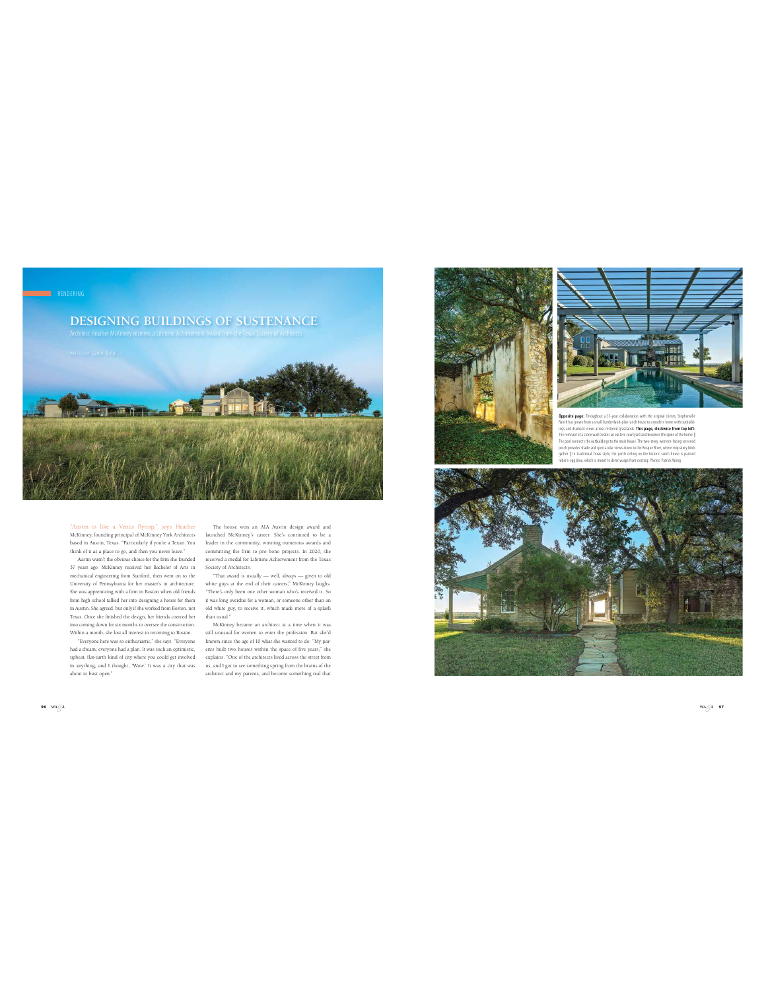

## "Austin is like a Venus flytrap," says Heather McKinney, founding principal of McKinney York Architects launched McKinney's career. She's continued to be a based in Austin, Texas. "Particularly if you're a Texan. You<br>think of it as a place to go, and then you never leave."<br>Austin wasn't the obvious choice for the firm she founded

37 years ago. McKinney received her Bachelor of Arts in mechanical engineering from Stanford, then went on to the University of Pennsylvania for her master's in architecture. She was apprenticing with a firm in Boston when old friends from high school talked her into designing a house for them in Austin. She agreed, but only if she worked from Boston, not Texas. Once she finished the design, her friends coerced her into coming down for six months to oversee the construction. Within a month, she lost all interest in returning to Boston.

"Everyone here was so enthusiastic," she says. "Everyone had a dream; everyone had a plan. It was such an optimistic, upbeat, flat-earth kind of city where you could get involved about to bust open."

The house won an AIA Austin design award and leader in the community, winning numerous awards and committing the firm to pro bono projects. In 2020, she received a medal for Lifetime Achievement from the Texas

Society of Architects. "That award is usually — well, always — given to old white guys at the end of their careers," McKinney laughs. "There's only been one other woman who's received it. So it was long overdue for a woman, or someone other than an old white guy, to receive it, which made more of a splash than usual." McKinney became an architect at a time when it was

in anything, and I thought, 'Wow.' It was a city that was us, and I got to see something spring from the brains of the still unusual for women to enter the profession. But she'd known since the age of 10 what she wanted to do. "My parents built two houses within the space of five years," she explains. "One of the architects lived across the street from architect and my parents, and become something real that





**site page:** Throughout a 35-year collaboration with the original clients, Stephe Ranch has grown from a small Combettade plan ranch house to a modern home with custodic<br>lines and dramatic views across restored grasslands. This pape, clockwise from top left:<br>The remnant of a stone wall creates an easter

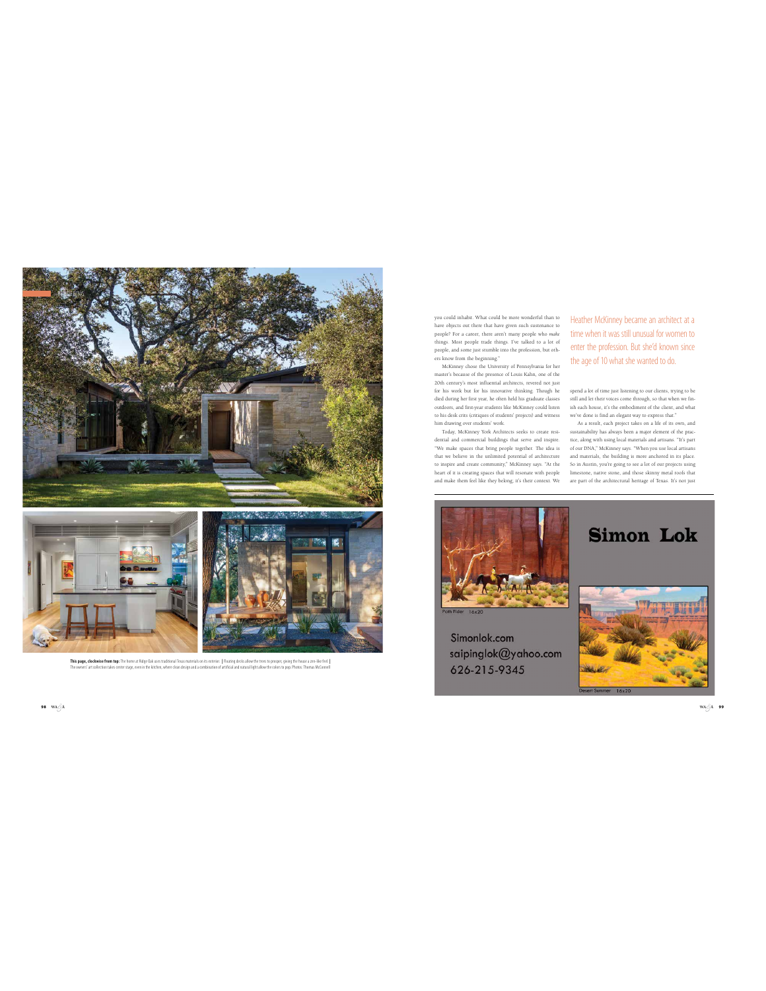



**This page, clockwise from top:** The home at Ridge Oak uses traditional Texas materials on its exterior. | Floating decks allow the trees to prosper, giving the house a zen-like feel. |<br>The owners' art collection takes cen

you could inhabit. What could be more wonderful than to have objects out there that have given such sustenance to people? For a career, there aren't many people who *make* things. Most people trade things. I've talked to a lot of people, and some just stumble into the profession, but oth-

ers know from the beginning." McKinney chose the University of Pennsylvania for her master's because of the presence of Louis Kahn, one of the 20th century's most influential architects, revered not just for his work but for his innovative thinking. Though he died during her first year, he often held his graduate classes outdoors, and first-year students like McKinney could listen to his desk crits (critiques of students' projects) and witness him drawing over students' work.

Today, McKinney York Architects seeks to create residential and commercial buildings that serve and inspire. "We make spaces that bring people together. The idea is that we believe in the unlimited potential of architecture to inspire and create community," McKinney says. "At the heart of it is creating spaces that will resonate with people and make them feel like they belong; it's their context. We

Heather McKinney became an architect at a time when it was still unusual for women to enter the profession. But she'd known since the age of 10 what she wanted to do.

spend a lot of time just listening to our clients, trying to be still and let their voices come through, so that when we fin-ish each house, it's the embodiment of the client, and what

we've done is find an elegant way to express that."<br>As a result, each project takes on a life of its own, and<br>sustainability has always been a major element of the prac-<br>tice, along with using local materials and artisans. and materials, the building is more anchored in its place. So in Austin, you're going to see a lot of our projects using limestone, native stone, and those skinny metal roofs that are part of the architectural heritage of Texas. It's not just



Simonlok.com saipinglok@yahoo.com 626-215-9345



**Simon Lok** 

**98 WA A**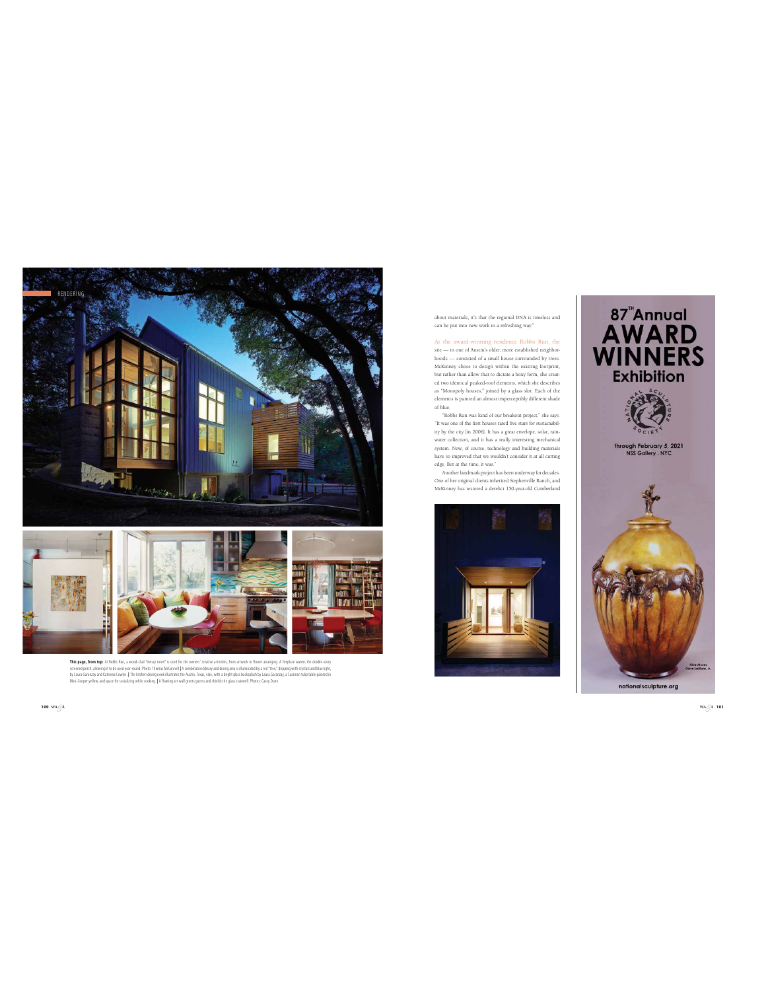



**This pays, from top:** Af Robs Bun, a wood-clar Trensy noon" is used for the marker of the many of the pays, the ma<br>corened pock, allowing to be usel yar-ound. Photo: Thomas McConnell A combination library and disinguity a

out materials, it's that the regional DNA is timeless and can be put into new work in a refreshing way."

At the award-winning residence Robbs Run, the site — in one of Austin's older, more established neighborhoods — consisted of a small house surrounded by trees. McKinney chose to design within the existing footprint, but rather than allow that to dictate a boxy form, she created two identical peaked-roof elements, which she describes as "Monopoly houses," joined by a glass slot. Each of the elements is painted an almost imperceptibly different shade of blue.

"Robbs Run was kind of our breakour project," she says.<br>"It was one of the first houses rated five stars for sustainability<br>by the city in 2006]. It has a great envelope, solar, rain-<br>water collection, and it has a really

Another landmark project has been underway for decades. One of her original clients inherited Stephenville Ranch, and McKinney has restored a derelict 150-year-old Cumberland





**WA**  $\stackrel{\frown}{\phantom{}}$  **A 101**